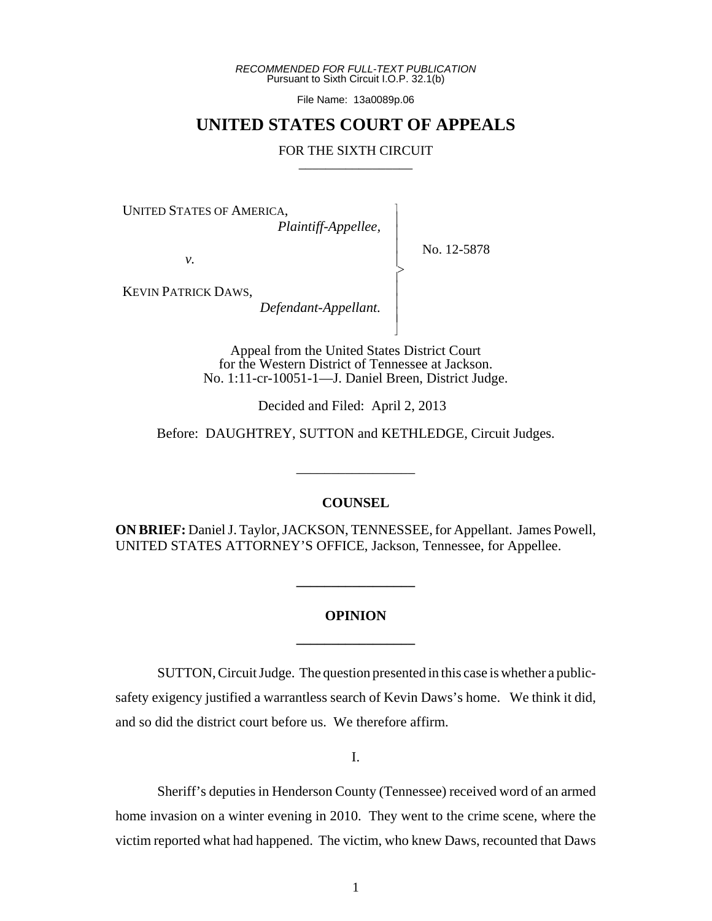*RECOMMENDED FOR FULL-TEXT PUBLICATION* Pursuant to Sixth Circuit I.O.P. 32.1(b)

File Name: 13a0089p.06

## **UNITED STATES COURT OF APPEALS**

## FOR THE SIXTH CIRCUIT

 $\overline{\phantom{a}}$ - - - > , - - - N

UNITED STATES OF AMERICA,

*Plaintiff-Appellee,*

No. 12-5878

*v.*

KEVIN PATRICK DAWS,

*Defendant-Appellant.*

Appeal from the United States District Court for the Western District of Tennessee at Jackson. No. 1:11-cr-10051-1—J. Daniel Breen, District Judge.

Decided and Filed: April 2, 2013

Before: DAUGHTREY, SUTTON and KETHLEDGE, Circuit Judges.

## **COUNSEL**

\_\_\_\_\_\_\_\_\_\_\_\_\_\_\_\_\_

**ON BRIEF:** Daniel J. Taylor, JACKSON, TENNESSEE, for Appellant. James Powell, UNITED STATES ATTORNEY'S OFFICE, Jackson, Tennessee, for Appellee.

## **OPINION \_\_\_\_\_\_\_\_\_\_\_\_\_\_\_\_\_**

**\_\_\_\_\_\_\_\_\_\_\_\_\_\_\_\_\_**

SUTTON, Circuit Judge. The question presented in this case is whether a publicsafety exigency justified a warrantless search of Kevin Daws's home. We think it did, and so did the district court before us. We therefore affirm.

I.

Sheriff's deputies in Henderson County (Tennessee) received word of an armed home invasion on a winter evening in 2010. They went to the crime scene, where the victim reported what had happened. The victim, who knew Daws, recounted that Daws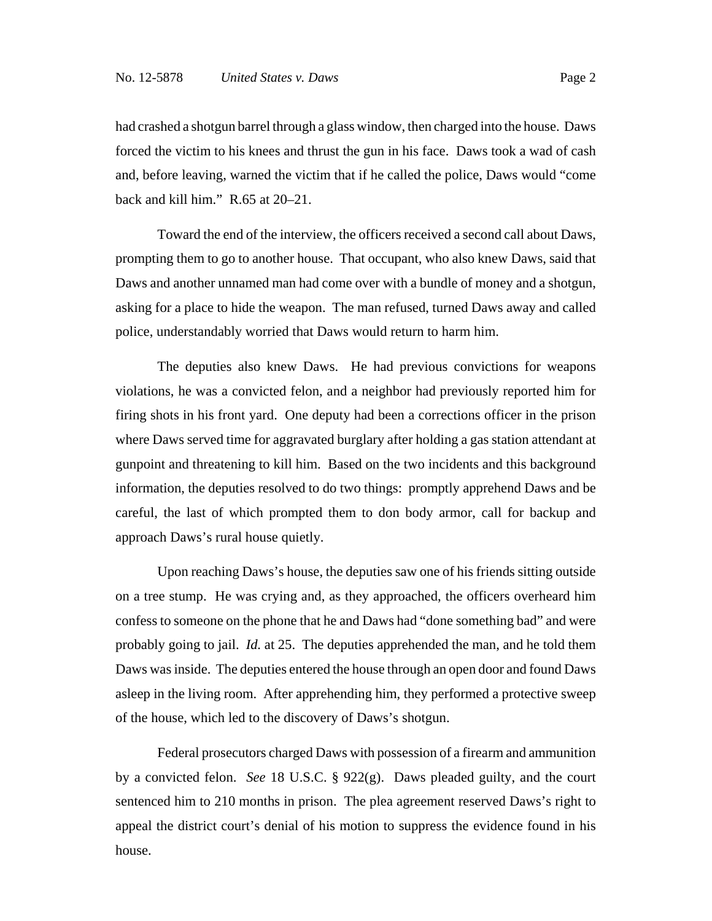had crashed a shotgun barrel through a glass window, then charged into the house. Daws forced the victim to his knees and thrust the gun in his face. Daws took a wad of cash and, before leaving, warned the victim that if he called the police, Daws would "come back and kill him." R.65 at 20–21.

Toward the end of the interview, the officers received a second call about Daws, prompting them to go to another house. That occupant, who also knew Daws, said that Daws and another unnamed man had come over with a bundle of money and a shotgun, asking for a place to hide the weapon. The man refused, turned Daws away and called police, understandably worried that Daws would return to harm him.

The deputies also knew Daws. He had previous convictions for weapons violations, he was a convicted felon, and a neighbor had previously reported him for firing shots in his front yard. One deputy had been a corrections officer in the prison where Daws served time for aggravated burglary after holding a gas station attendant at gunpoint and threatening to kill him. Based on the two incidents and this background information, the deputies resolved to do two things: promptly apprehend Daws and be careful, the last of which prompted them to don body armor, call for backup and approach Daws's rural house quietly.

Upon reaching Daws's house, the deputies saw one of his friends sitting outside on a tree stump. He was crying and, as they approached, the officers overheard him confess to someone on the phone that he and Daws had "done something bad" and were probably going to jail. *Id.* at 25. The deputies apprehended the man, and he told them Daws was inside. The deputies entered the house through an open door and found Daws asleep in the living room. After apprehending him, they performed a protective sweep of the house, which led to the discovery of Daws's shotgun.

Federal prosecutors charged Daws with possession of a firearm and ammunition by a convicted felon. *See* 18 U.S.C. § 922(g). Daws pleaded guilty, and the court sentenced him to 210 months in prison. The plea agreement reserved Daws's right to appeal the district court's denial of his motion to suppress the evidence found in his house.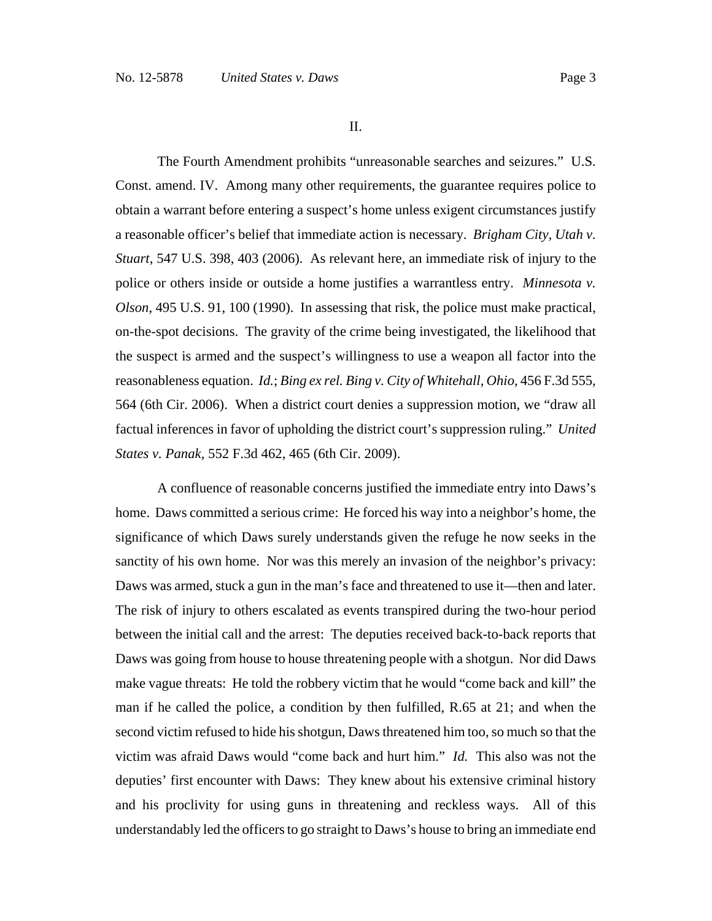II.

The Fourth Amendment prohibits "unreasonable searches and seizures." U.S. Const. amend. IV. Among many other requirements, the guarantee requires police to obtain a warrant before entering a suspect's home unless exigent circumstances justify a reasonable officer's belief that immediate action is necessary. *Brigham City, Utah v. Stuart*, 547 U.S. 398, 403 (2006). As relevant here, an immediate risk of injury to the police or others inside or outside a home justifies a warrantless entry. *Minnesota v. Olson*, 495 U.S. 91, 100 (1990). In assessing that risk, the police must make practical, on-the-spot decisions. The gravity of the crime being investigated, the likelihood that the suspect is armed and the suspect's willingness to use a weapon all factor into the reasonableness equation. *Id.*; *Bing ex rel. Bing v. City of Whitehall, Ohio*, 456 F.3d 555, 564 (6th Cir. 2006). When a district court denies a suppression motion, we "draw all factual inferences in favor of upholding the district court's suppression ruling." *United States v. Panak*, 552 F.3d 462, 465 (6th Cir. 2009).

A confluence of reasonable concerns justified the immediate entry into Daws's home. Daws committed a serious crime: He forced his way into a neighbor's home, the significance of which Daws surely understands given the refuge he now seeks in the sanctity of his own home. Nor was this merely an invasion of the neighbor's privacy: Daws was armed, stuck a gun in the man's face and threatened to use it—then and later. The risk of injury to others escalated as events transpired during the two-hour period between the initial call and the arrest: The deputies received back-to-back reports that Daws was going from house to house threatening people with a shotgun. Nor did Daws make vague threats: He told the robbery victim that he would "come back and kill" the man if he called the police, a condition by then fulfilled, R.65 at 21; and when the second victim refused to hide his shotgun, Daws threatened him too, so much so that the victim was afraid Daws would "come back and hurt him." *Id.* This also was not the deputies' first encounter with Daws: They knew about his extensive criminal history and his proclivity for using guns in threatening and reckless ways. All of this understandably led the officers to go straight to Daws's house to bring an immediate end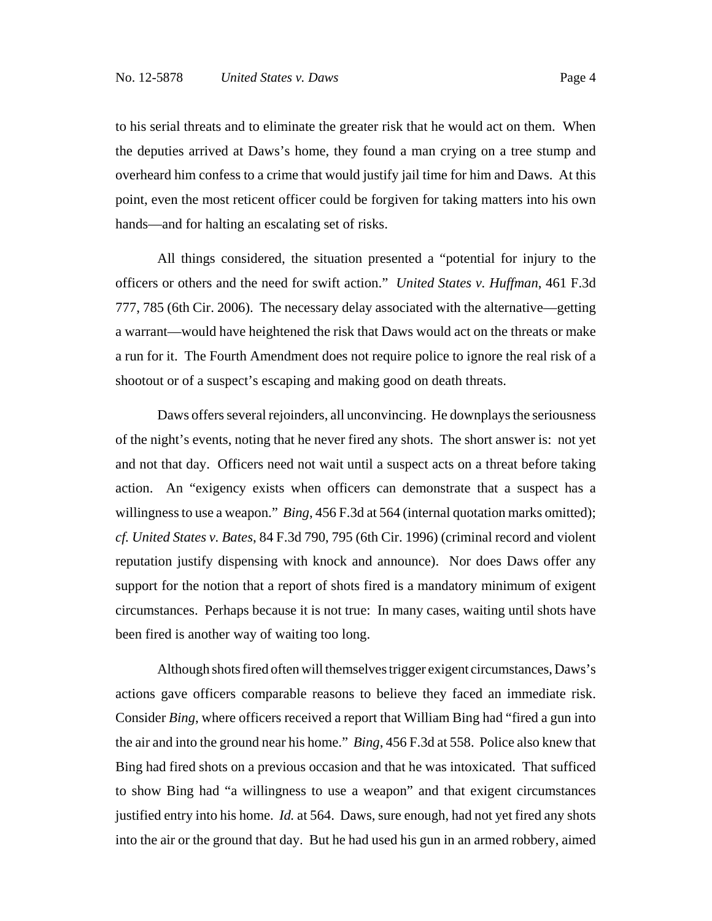to his serial threats and to eliminate the greater risk that he would act on them. When the deputies arrived at Daws's home, they found a man crying on a tree stump and overheard him confess to a crime that would justify jail time for him and Daws. At this point, even the most reticent officer could be forgiven for taking matters into his own hands—and for halting an escalating set of risks.

All things considered, the situation presented a "potential for injury to the officers or others and the need for swift action." *United States v. Huffman*, 461 F.3d 777, 785 (6th Cir. 2006). The necessary delay associated with the alternative—getting a warrant—would have heightened the risk that Daws would act on the threats or make a run for it. The Fourth Amendment does not require police to ignore the real risk of a shootout or of a suspect's escaping and making good on death threats.

Daws offers several rejoinders, all unconvincing. He downplays the seriousness of the night's events, noting that he never fired any shots. The short answer is: not yet and not that day. Officers need not wait until a suspect acts on a threat before taking action. An "exigency exists when officers can demonstrate that a suspect has a willingness to use a weapon." *Bing*, 456 F.3d at 564 (internal quotation marks omitted); *cf. United States v. Bates*, 84 F.3d 790, 795 (6th Cir. 1996) (criminal record and violent reputation justify dispensing with knock and announce). Nor does Daws offer any support for the notion that a report of shots fired is a mandatory minimum of exigent circumstances. Perhaps because it is not true: In many cases, waiting until shots have been fired is another way of waiting too long.

Although shots fired often will themselves trigger exigent circumstances, Daws's actions gave officers comparable reasons to believe they faced an immediate risk. Consider *Bing*, where officers received a report that William Bing had "fired a gun into the air and into the ground near his home." *Bing*, 456 F.3d at 558. Police also knew that Bing had fired shots on a previous occasion and that he was intoxicated. That sufficed to show Bing had "a willingness to use a weapon" and that exigent circumstances justified entry into his home. *Id.* at 564. Daws, sure enough, had not yet fired any shots into the air or the ground that day. But he had used his gun in an armed robbery, aimed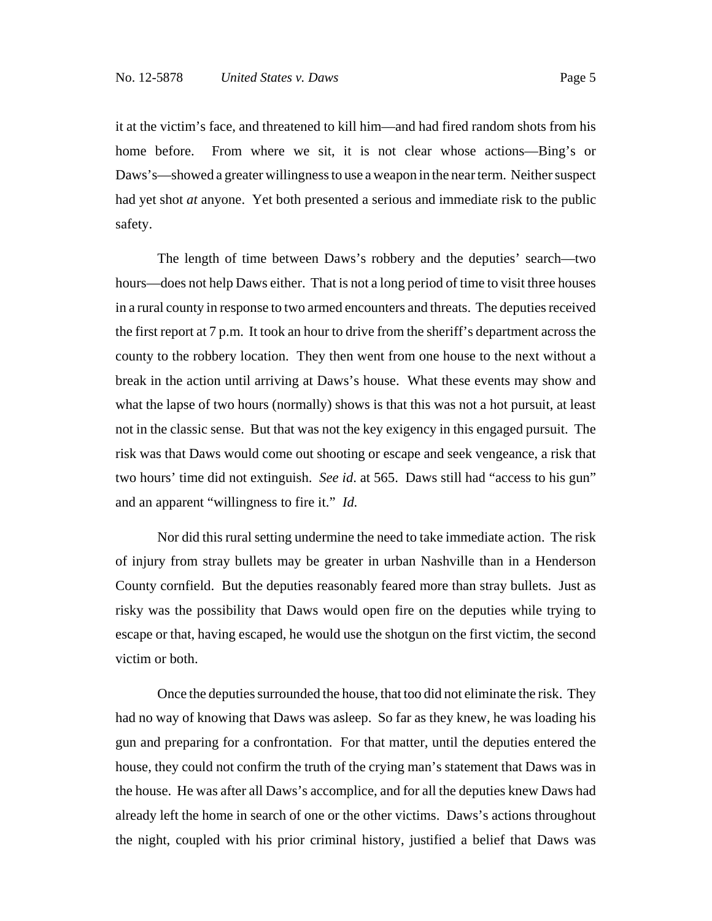it at the victim's face, and threatened to kill him—and had fired random shots from his home before. From where we sit, it is not clear whose actions—Bing's or Daws's—showed a greater willingness to use a weapon in the near term. Neither suspect had yet shot *at* anyone. Yet both presented a serious and immediate risk to the public safety.

The length of time between Daws's robbery and the deputies' search—two hours—does not help Daws either. That is not a long period of time to visit three houses in a rural county in response to two armed encounters and threats. The deputies received the first report at 7 p.m. It took an hour to drive from the sheriff's department across the county to the robbery location. They then went from one house to the next without a break in the action until arriving at Daws's house. What these events may show and what the lapse of two hours (normally) shows is that this was not a hot pursuit, at least not in the classic sense. But that was not the key exigency in this engaged pursuit. The risk was that Daws would come out shooting or escape and seek vengeance, a risk that two hours' time did not extinguish. *See id*. at 565. Daws still had "access to his gun" and an apparent "willingness to fire it." *Id.*

Nor did this rural setting undermine the need to take immediate action. The risk of injury from stray bullets may be greater in urban Nashville than in a Henderson County cornfield. But the deputies reasonably feared more than stray bullets. Just as risky was the possibility that Daws would open fire on the deputies while trying to escape or that, having escaped, he would use the shotgun on the first victim, the second victim or both.

Once the deputies surrounded the house, that too did not eliminate the risk. They had no way of knowing that Daws was asleep. So far as they knew, he was loading his gun and preparing for a confrontation. For that matter, until the deputies entered the house, they could not confirm the truth of the crying man's statement that Daws was in the house. He was after all Daws's accomplice, and for all the deputies knew Daws had already left the home in search of one or the other victims. Daws's actions throughout the night, coupled with his prior criminal history, justified a belief that Daws was